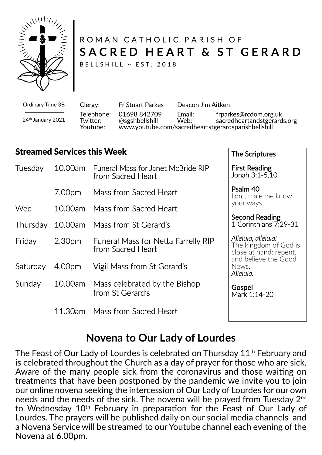

# ROMAN CATHOLIC PARISH OF SACRED HEART & ST GERARD

BELLSHILL ~ EST. 2018

Ordinary Time 3B 24th January 2021 Clergy: Fr Stuart Parkes Deacon Jim Aitken Telephone: 01698 842709 Email: frparkes@rcdom.org.uk<br>Twitter: @sgshbellshill Web: sacredheartandstgerard sacredheartandstgerards.org Youtube: www.youtube.com/sacredheartstgerardsparishbellshill

The Scriptures

### **Streamed Services this Week**

| Tuesday  | 10.00am            | <b>Funeral Mass for Janet McBride RIP</b><br>from Sacred Heart  | <b>First Reading</b><br>Jonah 3:1-5,10                                                                               |
|----------|--------------------|-----------------------------------------------------------------|----------------------------------------------------------------------------------------------------------------------|
|          | 7.00pm             | Mass from Sacred Heart                                          | Psalm 40<br>Lord, male me know<br>your ways.                                                                         |
| Wed      | 10.00am            | Mass from Sacred Heart                                          |                                                                                                                      |
| Thursday | 10.00am            | Mass from St Gerard's                                           | <b>Second Reading</b><br>1 Corinthians 7:29-31                                                                       |
| Friday   | 2.30 <sub>pm</sub> | <b>Funeral Mass for Netta Farrelly RIP</b><br>from Sacred Heart | Alleluia, alleluia!<br>The kingdom of God is<br>close at hand: repent,<br>and believe the Good<br>News.<br>Alleluia. |
| Saturday | 4.00pm             | Vigil Mass from St Gerard's                                     |                                                                                                                      |
| Sunday   | 10.00am            | Mass celebrated by the Bishop<br>from St Gerard's               | Gospel<br>Mark 1:14-20                                                                                               |
|          | 11.30am            | Mass from Sacred Heart                                          |                                                                                                                      |

## **Novena to Our Lady of Lourdes**

The Feast of Our Lady of Lourdes is celebrated on Thursday 11<sup>th</sup> February and is celebrated throughout the Church as a day of prayer for those who are sick. Aware of the many people sick from the coronavirus and those waiting on treatments that have been postponed by the pandemic we invite you to join our online novena seeking the intercession of Our Lady of Lourdes for our own needs and the needs of the sick. The novena will be prayed from Tuesday 2nd to Wednesday 10<sup>th</sup> February in preparation for the Feast of Our Lady of Lourdes. The prayers will be published daily on our social media channels and a Novena Service will be streamed to our Youtube channel each evening of the Novena at 6.00pm.